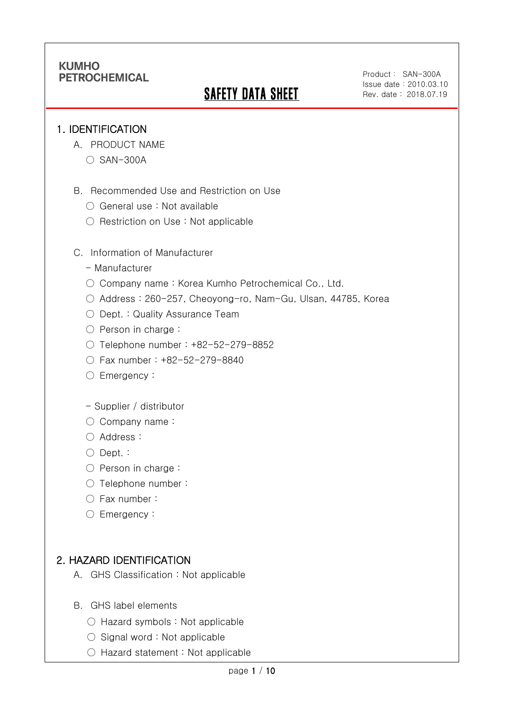# **SAFETY DATA SHEET**

Product: SAN-300A Issue date:2010.03.10 Rev. date : 2018.07.19

### 1. IDENTIFICATION

Ī

- A. PRODUCT NAME
	- SAN-300A
- B. Recommended Use and Restriction on Use
	- General use : Not available
	- Restriction on Use : Not applicable
- C. Information of Manufacturer
	- Manufacturer
	- Company name: Korea Kumho Petrochemical Co., Ltd.
	- Address : 260-257, Cheoyong-ro, Nam-Gu, Ulsan, 44785, Korea
	- Dept. : Quality Assurance Team
	- Person in charge :
	- Telephone number : +82-52-279-8852
	- Fax number : +82-52-279-8840
	- Emergency:
	- Supplier / distributor
	- Company name:
	- Address :
	- Dept. :
	- Person in charge :
	- Telephone number :
	- Fax number :
	- Emergency:

## 2. HAZARD IDENTIFICATION

- A. GHS Classification : Not applicable
- B. GHS label elements
	- Hazard symbols : Not applicable
	- $\bigcirc$  Signal word : Not applicable
	- Hazard statement : Not applicable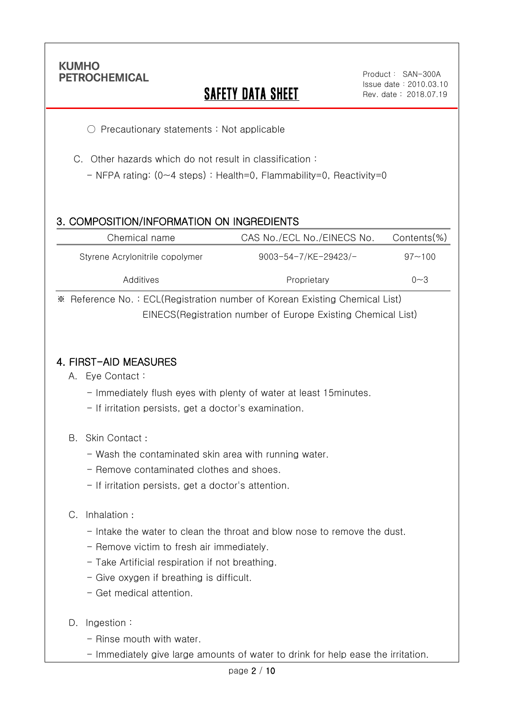Ī

# **SAFETY DATA SHEET**

Product: SAN-300A Issue date:2010.03.10 Rev. date : 2018.07.19

○ Precautionary statements : Not applicable

C. Other hazards which do not result in classification :

- NFPA rating: (0~4 steps) : Health=0, Flammability=0, Reactivity=0

### 3. COMPOSITION/INFORMATION ON INGREDIENTS

| Chemical name                   | CAS No./ECL No./EINECS No.  | Contents(%) |  |
|---------------------------------|-----------------------------|-------------|--|
| Styrene Acrylonitrile copolymer | $9003 - 54 - 7$ /KE-29423/- | $97 - 100$  |  |
| Additives                       | Proprietary                 | $0 - 3$     |  |

※ Reference No. : ECL(Registration number of Korean Existing Chemical List) EINECS(Registration number of Europe Existing Chemical List)

### 4. FIRST-AID MEASURES

- A. Eye Contact :
	- Immediately flush eyes with plenty of water at least 15minutes.
	- If irritation persists, get a doctor's examination.
- B. Skin Contact :
	- Wash the contaminated skin area with running water.
	- Remove contaminated clothes and shoes.
	- If irritation persists, get a doctor's attention.

#### C. Inhalation :

- Intake the water to clean the throat and blow nose to remove the dust.
- Remove victim to fresh air immediately.
- Take Artificial respiration if not breathing.
- Give oxygen if breathing is difficult.
- Get medical attention.
- D. Ingestion:
	- Rinse mouth with water.
	- Immediately give large amounts of water to drink for help ease the irritation.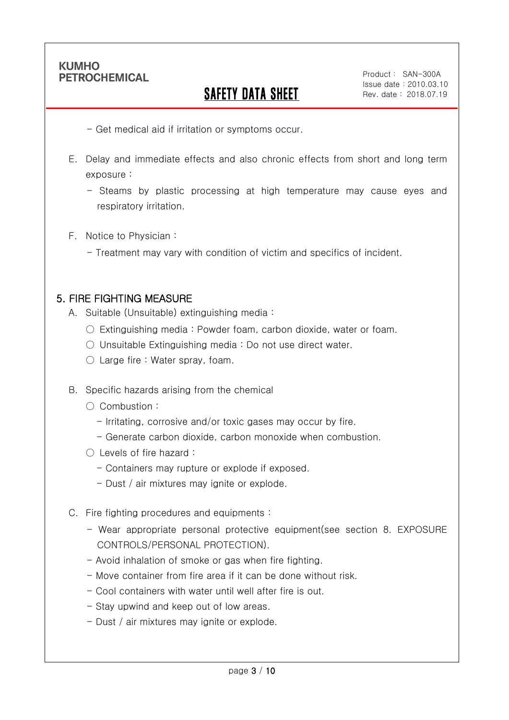Ī

# SAFETY DATA SHEET

Product: SAN-300A Issue date:2010.03.10 Rev. date : 2018.07.19

- Get medical aid if irritation or symptoms occur.

- E. Delay and immediate effects and also chronic effects from short and long term exposure :
	- Steams by plastic processing at high temperature may cause eyes and respiratory irritation.
- F. Notice to Physician :
	- Treatment may vary with condition of victim and specifics of incident.

### 5. FIRE FIGHTING MEASURE

- A. Suitable (Unsuitable) extinguishing media :
	- $\circ$  Extinguishing media : Powder foam, carbon dioxide, water or foam.
	- Unsuitable Extinguishing media : Do not use direct water.
	- Large fire : Water spray, foam.
- B. Specific hazards arising from the chemical
	- Combustion :
		- Irritating, corrosive and/or toxic gases may occur by fire.
		- Generate carbon dioxide, carbon monoxide when combustion.
	- Levels of fire hazard :
		- Containers may rupture or explode if exposed.
		- Dust / air mixtures may ignite or explode.
- C. Fire fighting procedures and equipments :
	- Wear appropriate personal protective equipment(see section 8. EXPOSURE CONTROLS/PERSONAL PROTECTION).
	- Avoid inhalation of smoke or gas when fire fighting.
	- Move container from fire area if it can be done without risk.
	- Cool containers with water until well after fire is out.
	- Stay upwind and keep out of low areas.
	- Dust / air mixtures may ignite or explode.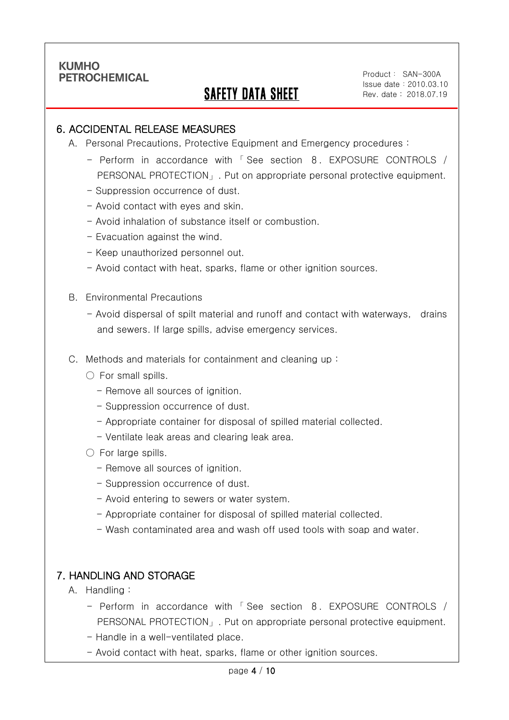Ī

# SAFETY DATA SHEET

Product: SAN-300A Issue date:2010.03.10 Rev. date : 2018.07.19

### 6. ACCIDENTAL RELEASE MEASURES

- A. Personal Precautions, Protective Equipment and Emergency procedures :
	- Perform in accordance with 「 See section 8. EXPOSURE CONTROLS / PERSONAL PROTECTION」. Put on appropriate personal protective equipment.
	- Suppression occurrence of dust.
	- Avoid contact with eyes and skin.
	- Avoid inhalation of substance itself or combustion.
	- Evacuation against the wind.
	- Keep unauthorized personnel out.
	- Avoid contact with heat, sparks, flame or other ignition sources.
- B. Environmental Precautions
	- Avoid dispersal of spilt material and runoff and contact with waterways, drains and sewers. If large spills, advise emergency services.
- C. Methods and materials for containment and cleaning up :
	- $\bigcirc$  For small spills.
		- Remove all sources of ignition.
		- Suppression occurrence of dust.
		- Appropriate container for disposal of spilled material collected.
		- Ventilate leak areas and clearing leak area.
	- For large spills.
		- Remove all sources of ignition.
		- Suppression occurrence of dust.
		- Avoid entering to sewers or water system.
		- Appropriate container for disposal of spilled material collected.
		- Wash contaminated area and wash off used tools with soap and water.

### 7. HANDLING AND STORAGE

- A. Handling :
	- Perform in accordance with 「 See section 8. EXPOSURE CONTROLS / PERSONAL PROTECTION」. Put on appropriate personal protective equipment.
	- Handle in a well-ventilated place.
	- Avoid contact with heat, sparks, flame or other ignition sources.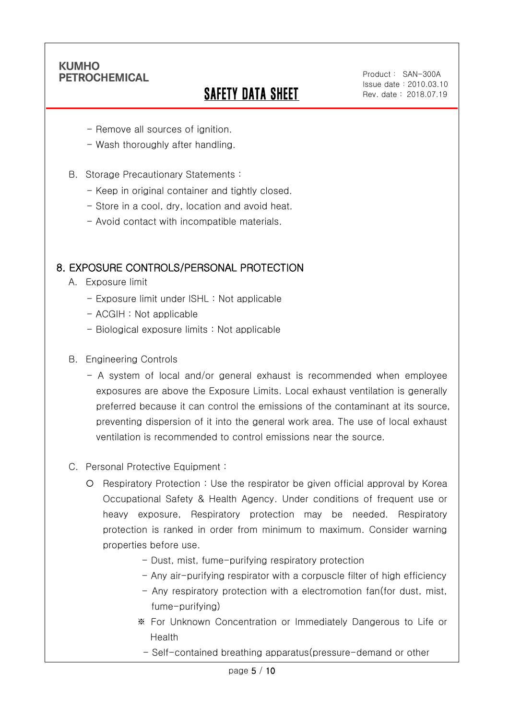Ī

# SAFETY DATA SHEET

Product: SAN-300A Issue date:2010.03.10 Rev. date : 2018.07.19

- Remove all sources of ignition.
- Wash thoroughly after handling.
- B. Storage Precautionary Statements :
	- Keep in original container and tightly closed.
	- Store in a cool, dry, location and avoid heat.
	- Avoid contact with incompatible materials.

### 8. EXPOSURE CONTROLS/PERSONAL PROTECTION

- A. Exposure limit
	- Exposure limit under ISHL : Not applicable
	- ACGIH : Not applicable
	- Biological exposure limits : Not applicable
- B. Engineering Controls
	- A system of local and/or general exhaust is recommended when employee exposures are above the Exposure Limits. Local exhaust ventilation is generally preferred because it can control the emissions of the contaminant at its source, preventing dispersion of it into the general work area. The use of local exhaust ventilation is recommended to control emissions near the source.
- C. Personal Protective Equipment :
	- Respiratory Protection : Use the respirator be given official approval by Korea Occupational Safety & Health Agency. Under conditions of frequent use or heavy exposure, Respiratory protection may be needed. Respiratory protection is ranked in order from minimum to maximum. Consider warning properties before use.
		- Dust, mist, fume-purifying respiratory protection
		- Any air-purifying respirator with a corpuscle filter of high efficiency
		- Any respiratory protection with a electromotion fan(for dust, mist, fume-purifying)
		- ※ For Unknown Concentration or Immediately Dangerous to Life or Health
			- Self-contained breathing apparatus(pressure-demand or other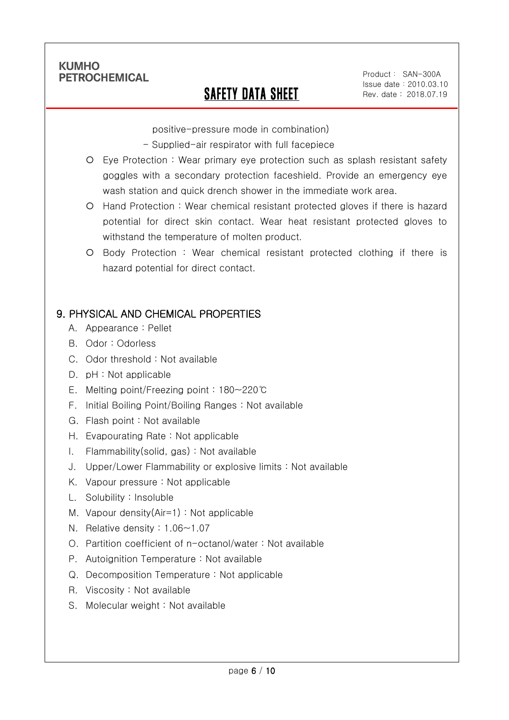Ī

# SAFETY DATA SHEET

Product: SAN-300A Issue date:2010.03.10 Rev. date : 2018.07.19

positive-pressure mode in combination)

- Supplied-air respirator with full facepiece
- Eye Protection : Wear primary eye protection such as splash resistant safety goggles with a secondary protection faceshield. Provide an emergency eye wash station and quick drench shower in the immediate work area.
- Hand Protection : Wear chemical resistant protected gloves if there is hazard potential for direct skin contact. Wear heat resistant protected gloves to withstand the temperature of molten product.
- Body Protection : Wear chemical resistant protected clothing if there is hazard potential for direct contact.

## 9. PHYSICAL AND CHEMICAL PROPERTIES

- A. Appearance : Pellet
- B. Odor : Odorless
- C. Odor threshold : Not available
- D. pH : Not applicable
- E. Melting point/Freezing point : 180~220℃
- F. Initial Boiling Point/Boiling Ranges : Not available
- G. Flash point : Not available
- H. Evapourating Rate : Not applicable
- I. Flammability(solid, gas) : Not available
- J. Upper/Lower Flammability or explosive limits : Not available
- K. Vapour pressure : Not applicable
- L. Solubility : Insoluble
- M. Vapour density(Air=1) : Not applicable
- N. Relative density : 1.06~1.07
- O. Partition coefficient of n-octanol/water : Not available
- P. Autoignition Temperature : Not available
- Q. Decomposition Temperature : Not applicable
- R. Viscosity : Not available
- S. Molecular weight : Not available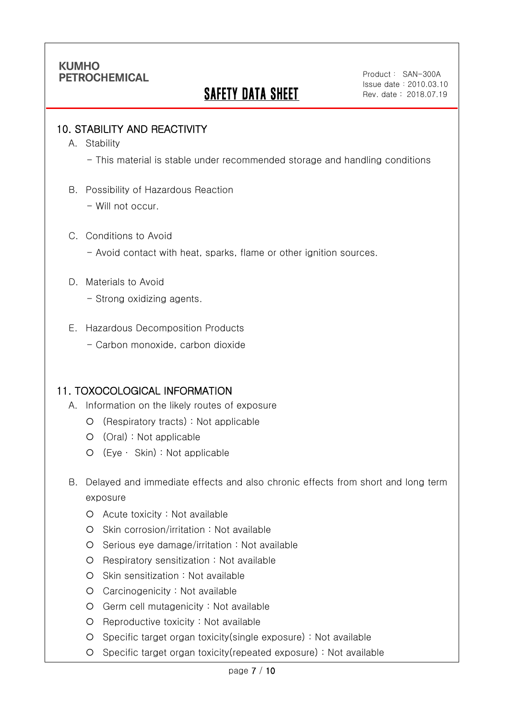# SAFETY DATA SHEET

Product: SAN-300A Issue date:2010.03.10 Rev. date : 2018.07.19

### 10. STABILITY AND REACTIVITY

A. Stability

Ī

- This material is stable under recommended storage and handling conditions

- B. Possibility of Hazardous Reaction
	- Will not occur.
- C. Conditions to Avoid
	- Avoid contact with heat, sparks, flame or other ignition sources.
- D. Materials to Avoid
	- Strong oxidizing agents.
- E. Hazardous Decomposition Products
	- Carbon monoxide, carbon dioxide

#### 11. TOXOCOLOGICAL INFORMATION

- A. Information on the likely routes of exposure
	- (Respiratory tracts) : Not applicable
	- (Oral) : Not applicable
	- (Eye ∙ Skin) : Not applicable
- B. Delayed and immediate effects and also chronic effects from short and long term exposure
	- Acute toxicity : Not available
	- Skin corrosion/irritation : Not available
	- O Serious eye damage/irritation : Not available
	- O Respiratory sensitization : Not available
	- O Skin sensitization : Not available
	- Carcinogenicity : Not available
	- Germ cell mutagenicity : Not available
	- O Reproductive toxicity : Not available
	- Specific target organ toxicity(single exposure) : Not available
	- Specific target organ toxicity(repeated exposure) : Not available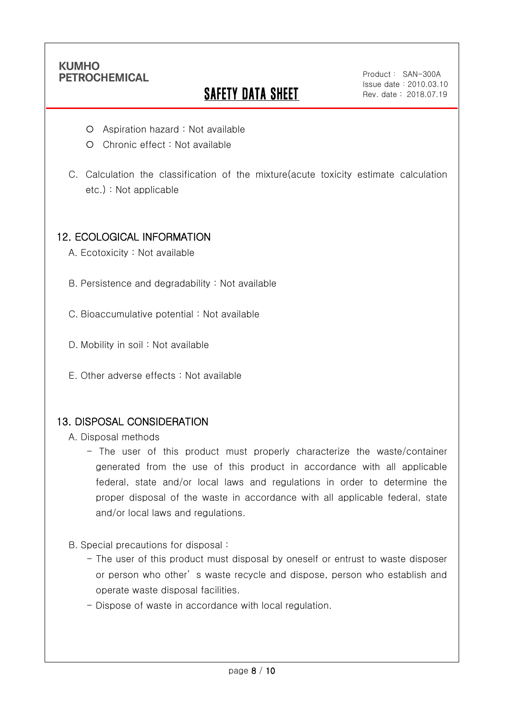Ī

# **SAFETY DATA SHEET**

Product: SAN-300A Issue date:2010.03.10 Rev. date : 2018.07.19

- Aspiration hazard : Not available
- O Chronic effect : Not available
- C. Calculation the classification of the mixture(acute toxicity estimate calculation etc.) : Not applicable

### 12. ECOLOGICAL INFORMATION

- A. Ecotoxicity : Not available
- B. Persistence and degradability : Not available
- C. Bioaccumulative potential : Not available
- D. Mobility in soil: Not available
- E. Other adverse effects : Not available

### 13. DISPOSAL CONSIDERATION

- A. Disposal methods
	- The user of this product must properly characterize the waste/container generated from the use of this product in accordance with all applicable federal, state and/or local laws and regulations in order to determine the proper disposal of the waste in accordance with all applicable federal, state and/or local laws and regulations.
- B. Special precautions for disposal :
	- The user of this product must disposal by oneself or entrust to waste disposer or person who other' s waste recycle and dispose, person who establish and operate waste disposal facilities.
	- Dispose of waste in accordance with local regulation.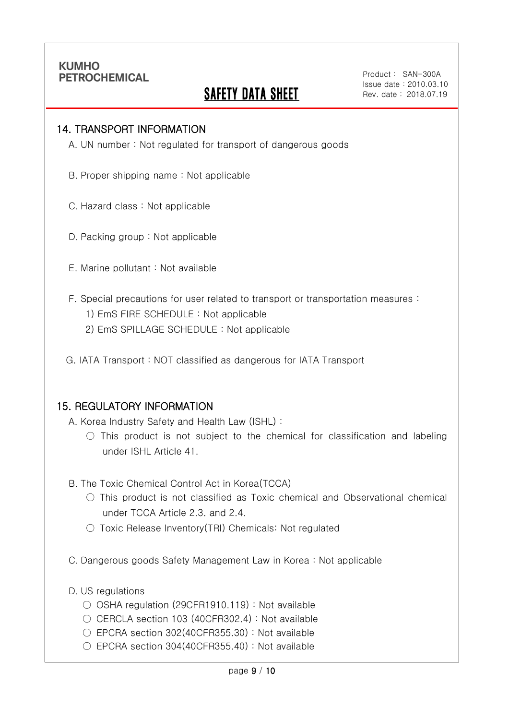Ī

# **SAFETY DATA SHEET**

Product: SAN-300A Issue date:2010.03.10 Rev. date : 2018.07.19

#### 14. TRANSPORT INFORMATION

A. UN number : Not regulated for transport of dangerous goods

- B. Proper shipping name : Not applicable
- C. Hazard class : Not applicable
- D. Packing group : Not applicable
- E. Marine pollutant : Not available
- F. Special precautions for user related to transport or transportation measures :
	- 1) EmS FIRE SCHEDULE : Not applicable
	- 2) EmS SPILLAGE SCHEDULE : Not applicable
- G. IATA Transport : NOT classified as dangerous for IATA Transport

#### 15. REGULATORY INFORMATION

A. Korea Industry Safety and Health Law (ISHL) :

- $\bigcirc$  This product is not subject to the chemical for classification and labeling under ISHL Article 41.
- B. The Toxic Chemical Control Act in Korea(TCCA)
	- $\bigcirc$  This product is not classified as Toxic chemical and Observational chemical under TCCA Article 2.3. and 2.4.
	- Toxic Release Inventory(TRI) Chemicals: Not regulated
- C. Dangerous goods Safety Management Law in Korea : Not applicable
- D. US regulations
	- OSHA regulation (29CFR1910.119) : Not available
	- $\bigcirc$  CERCLA section 103 (40CFR302.4) : Not available
	- EPCRA section 302(40CFR355.30) : Not available
	- EPCRA section 304(40CFR355.40): Not available